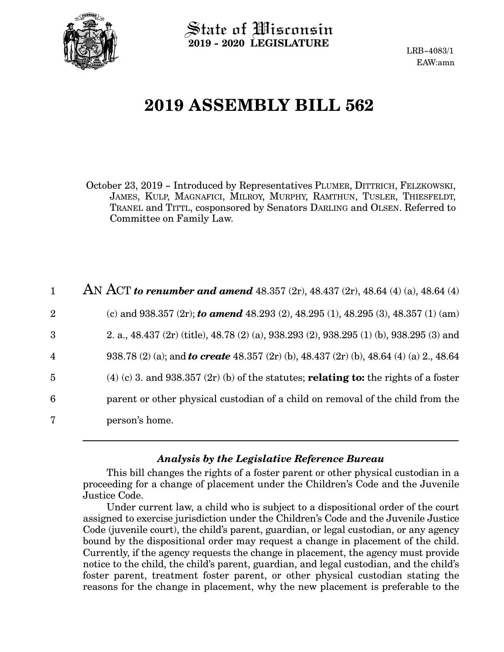

State of Wisconsin **2019 - 2020 LEGISLATURE**

LRB-4083/1 EAW:amn

# **2019 ASSEMBLY BILL 562**

October 23, 2019 - Introduced by Representatives PLUMER, DITTRICH, FELZKOWSKI, JAMES, KULP, MAGNAFICI, MILROY, MURPHY, RAMTHUN, TUSLER, THIESFELDT, TRANEL and TITTL, cosponsored by Senators DARLING and OLSEN. Referred to Committee on Family Law.

|                | AN ACT to renumber and amend 48.357 (2r), 48.437 (2r), 48.64 (4) (a), 48.64 (4)                |
|----------------|------------------------------------------------------------------------------------------------|
| $\overline{2}$ | (c) and 938.357 (2r); to amend 48.293 (2), 48.295 (1), 48.295 (3), 48.357 (1) (am)             |
| 3              | 2. a., 48.437 (2r) (title), 48.78 (2) (a), 938.293 (2), 938.295 (1) (b), 938.295 (3) and       |
| $\overline{4}$ | 938.78 (2) (a); and <b>to create</b> 48.357 (2r) (b), 48.437 (2r) (b), 48.64 (4) (a) 2., 48.64 |
| $\overline{5}$ | (4) (c) 3. and 938.357 (2r) (b) of the statutes; <b>relating to:</b> the rights of a foster    |
| 6              | parent or other physical custodian of a child on removal of the child from the                 |
| 7              | person's home.                                                                                 |

#### *Analysis by the Legislative Reference Bureau*

This bill changes the rights of a foster parent or other physical custodian in a proceeding for a change of placement under the Children's Code and the Juvenile Justice Code.

Under current law, a child who is subject to a dispositional order of the court assigned to exercise jurisdiction under the Children's Code and the Juvenile Justice Code (juvenile court), the child's parent, guardian, or legal custodian, or any agency bound by the dispositional order may request a change in placement of the child. Currently, if the agency requests the change in placement, the agency must provide notice to the child, the child's parent, guardian, and legal custodian, and the child's foster parent, treatment foster parent, or other physical custodian stating the reasons for the change in placement, why the new placement is preferable to the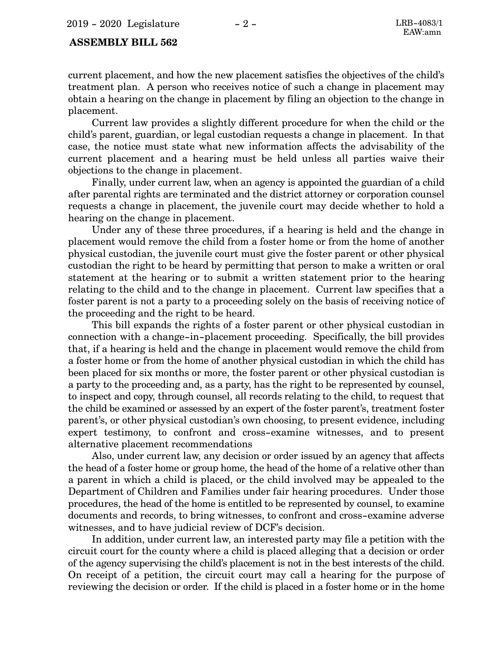current placement, and how the new placement satisfies the objectives of the child's treatment plan. A person who receives notice of such a change in placement may obtain a hearing on the change in placement by filing an objection to the change in placement.

Current law provides a slightly different procedure for when the child or the child's parent, guardian, or legal custodian requests a change in placement. In that case, the notice must state what new information affects the advisability of the current placement and a hearing must be held unless all parties waive their objections to the change in placement.

Finally, under current law, when an agency is appointed the guardian of a child after parental rights are terminated and the district attorney or corporation counsel requests a change in placement, the juvenile court may decide whether to hold a hearing on the change in placement.

Under any of these three procedures, if a hearing is held and the change in placement would remove the child from a foster home or from the home of another physical custodian, the juvenile court must give the foster parent or other physical custodian the right to be heard by permitting that person to make a written or oral statement at the hearing or to submit a written statement prior to the hearing relating to the child and to the change in placement. Current law specifies that a foster parent is not a party to a proceeding solely on the basis of receiving notice of the proceeding and the right to be heard.

This bill expands the rights of a foster parent or other physical custodian in connection with a change-in-placement proceeding. Specifically, the bill provides that, if a hearing is held and the change in placement would remove the child from a foster home or from the home of another physical custodian in which the child has been placed for six months or more, the foster parent or other physical custodian is a party to the proceeding and, as a party, has the right to be represented by counsel, to inspect and copy, through counsel, all records relating to the child, to request that the child be examined or assessed by an expert of the foster parent's, treatment foster parent's, or other physical custodian's own choosing, to present evidence, including expert testimony, to confront and cross-examine witnesses, and to present alternative placement recommendations

Also, under current law, any decision or order issued by an agency that affects the head of a foster home or group home, the head of the home of a relative other than a parent in which a child is placed, or the child involved may be appealed to the Department of Children and Families under fair hearing procedures. Under those procedures, the head of the home is entitled to be represented by counsel, to examine documents and records, to bring witnesses, to confront and cross-examine adverse witnesses, and to have judicial review of DCF's decision.

In addition, under current law, an interested party may file a petition with the circuit court for the county where a child is placed alleging that a decision or order of the agency supervising the child's placement is not in the best interests of the child. On receipt of a petition, the circuit court may call a hearing for the purpose of reviewing the decision or order. If the child is placed in a foster home or in the home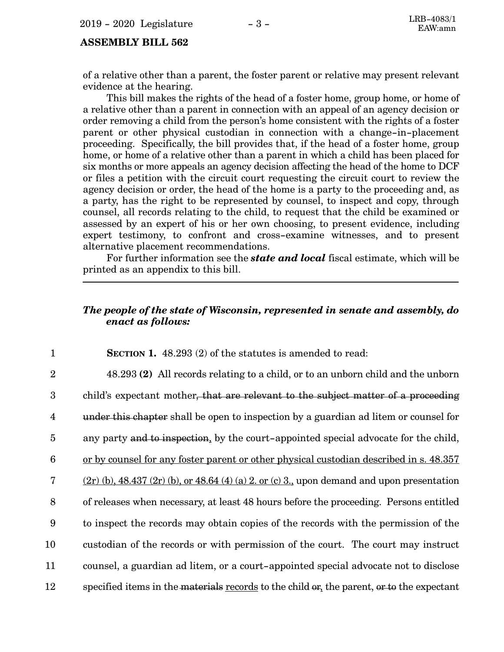of a relative other than a parent, the foster parent or relative may present relevant evidence at the hearing.

This bill makes the rights of the head of a foster home, group home, or home of a relative other than a parent in connection with an appeal of an agency decision or order removing a child from the person's home consistent with the rights of a foster parent or other physical custodian in connection with a change-in-placement proceeding. Specifically, the bill provides that, if the head of a foster home, group home, or home of a relative other than a parent in which a child has been placed for six months or more appeals an agency decision affecting the head of the home to DCF or files a petition with the circuit court requesting the circuit court to review the agency decision or order, the head of the home is a party to the proceeding and, as a party, has the right to be represented by counsel, to inspect and copy, through counsel, all records relating to the child, to request that the child be examined or assessed by an expert of his or her own choosing, to present evidence, including expert testimony, to confront and cross-examine witnesses, and to present alternative placement recommendations.

For further information see the *state and local* fiscal estimate, which will be printed as an appendix to this bill.

#### *The people of the state of Wisconsin, represented in senate and assembly, do enact as follows:*

**SECTION 1.** 48.293 (2) of the statutes is amended to read: 48.293 **(2)** All records relating to a child, or to an unborn child and the unborn child's expectant mother, that are relevant to the subject matter of a proceeding under this chapter shall be open to inspection by a guardian ad litem or counsel for any party and to inspection, by the court-appointed special advocate for the child, or by counsel for any foster parent or other physical custodian described in s. 48.357  $(2r)$  (b), 48.437 (2r) (b), or 48.64 (4) (a) 2. or (c) 3., upon demand and upon presentation of releases when necessary, at least 48 hours before the proceeding. Persons entitled to inspect the records may obtain copies of the records with the permission of the custodian of the records or with permission of the court. The court may instruct counsel, a guardian ad litem, or a court-appointed special advocate not to disclose specified items in the materials records to the child or, the parent, or to the expectant 1 2 3 4 5 6 7 8 9 10 11 12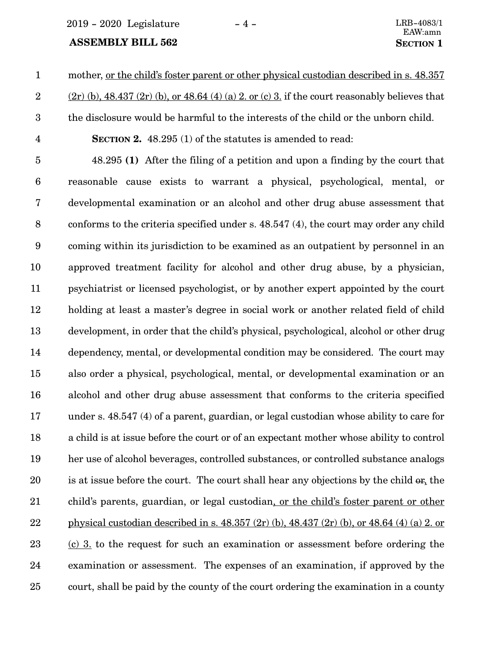2019 - 2020 Legislature - 4 - LRB-4083/1

#### **ASSEMBLY BILL 562 SECTION** 1

mother, or the child's foster parent or other physical custodian described in s. 48.357 1

 $(2r)$  (b), 48.437 (2r) (b), or 48.64 (4) (a) 2. or (c) 3. if the court reasonably believes that

the disclosure would be harmful to the interests of the child or the unborn child.

- 2 3
- 4

**SECTION 2.** 48.295 (1) of the statutes is amended to read:

48.295 **(1)** After the filing of a petition and upon a finding by the court that reasonable cause exists to warrant a physical, psychological, mental, or developmental examination or an alcohol and other drug abuse assessment that conforms to the criteria specified under s. 48.547 (4), the court may order any child coming within its jurisdiction to be examined as an outpatient by personnel in an approved treatment facility for alcohol and other drug abuse, by a physician, psychiatrist or licensed psychologist, or by another expert appointed by the court holding at least a master's degree in social work or another related field of child development, in order that the child's physical, psychological, alcohol or other drug dependency, mental, or developmental condition may be considered. The court may also order a physical, psychological, mental, or developmental examination or an alcohol and other drug abuse assessment that conforms to the criteria specified under s. 48.547 (4) of a parent, guardian, or legal custodian whose ability to care for a child is at issue before the court or of an expectant mother whose ability to control her use of alcohol beverages, controlled substances, or controlled substance analogs is at issue before the court. The court shall hear any objections by the child or, the child's parents, guardian, or legal custodian, or the child's foster parent or other physical custodian described in s. 48.357 (2r) (b), 48.437 (2r) (b), or 48.64 (4) (a) 2. or (c) 3. to the request for such an examination or assessment before ordering the examination or assessment. The expenses of an examination, if approved by the court, shall be paid by the county of the court ordering the examination in a county 5 6 7 8 9 10 11 12 13 14 15 16 17 18 19 20 21 22 23 24 25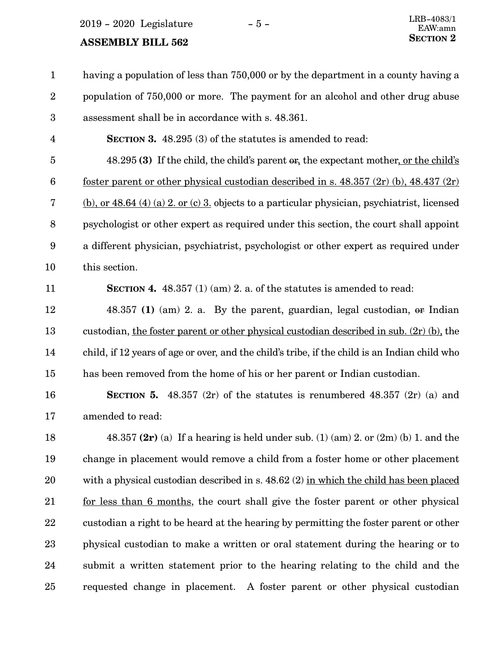$2019 - 2020$  Legislature  $-5 -$ 

### **SECTION** 2 **SECTION**

11

having a population of less than 750,000 or by the department in a county having a population of 750,000 or more. The payment for an alcohol and other drug abuse assessment shall be in accordance with s. 48.361. 1 2 3

**SECTION 3.** 48.295 (3) of the statutes is amended to read: 4

48.295 **(3)** If the child, the child's parent or, the expectant mother, or the child's foster parent or other physical custodian described in s.  $48.357$  (2r) (b),  $48.437$  (2r) (b), or 48.64 (4) (a) 2. or (c) 3. objects to a particular physician, psychiatrist, licensed psychologist or other expert as required under this section, the court shall appoint a different physician, psychiatrist, psychologist or other expert as required under this section. 5 6 7 8 9 10

**SECTION 4.** 48.357 (1) (am) 2. a. of the statutes is amended to read:

48.357 **(1)** (am) 2. a. By the parent, guardian, legal custodian, or Indian custodian, the foster parent or other physical custodian described in sub. (2r) (b), the child, if 12 years of age or over, and the child's tribe, if the child is an Indian child who has been removed from the home of his or her parent or Indian custodian. 12 13 14 15

**SECTION** 5.  $48.357$  (2r) of the statutes is renumbered  $48.357$  (2r) (a) and amended to read: 16 17

48.357 **(2r)** (a) If a hearing is held under sub. (1) (am) 2. or (2m) (b) 1. and the change in placement would remove a child from a foster home or other placement with a physical custodian described in s. 48.62 (2) in which the child has been placed for less than 6 months, the court shall give the foster parent or other physical custodian a right to be heard at the hearing by permitting the foster parent or other physical custodian to make a written or oral statement during the hearing or to submit a written statement prior to the hearing relating to the child and the requested change in placement. A foster parent or other physical custodian 18 19 20 21 22 23 24 25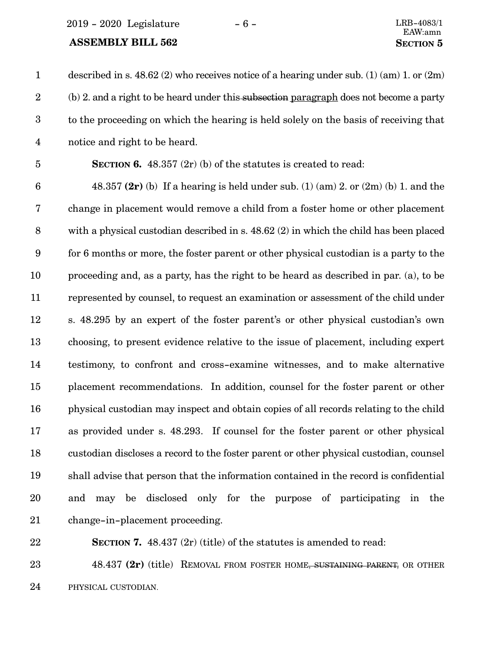2019 - 2020 Legislature - 6 - LRB-4083/1

#### **ASSEMBLY BILL 562 SECTION** 5

described in s.  $48.62$  (2) who receives notice of a hearing under sub. (1) (am) 1. or (2m) (b) 2. and a right to be heard under this subsection paragraph does not become a party to the proceeding on which the hearing is held solely on the basis of receiving that notice and right to be heard. 1 2 3 4

5

**SECTION 6.** 48.357 (2r) (b) of the statutes is created to read:

48.357 **(2r)** (b) If a hearing is held under sub. (1) (am) 2. or (2m) (b) 1. and the change in placement would remove a child from a foster home or other placement with a physical custodian described in s. 48.62 (2) in which the child has been placed for 6 months or more, the foster parent or other physical custodian is a party to the proceeding and, as a party, has the right to be heard as described in par. (a), to be represented by counsel, to request an examination or assessment of the child under s. 48.295 by an expert of the foster parent's or other physical custodian's own choosing, to present evidence relative to the issue of placement, including expert testimony, to confront and cross-examine witnesses, and to make alternative placement recommendations. In addition, counsel for the foster parent or other physical custodian may inspect and obtain copies of all records relating to the child as provided under s. 48.293. If counsel for the foster parent or other physical custodian discloses a record to the foster parent or other physical custodian, counsel shall advise that person that the information contained in the record is confidential and may be disclosed only for the purpose of participating in the change-in-placement proceeding. 6 7 8 9 10 11 12 13 14 15 16 17 18 19 20 21

22

**SECTION 7.** 48.437 (2r) (title) of the statutes is amended to read:

48.437 **(2r)** (title) REMOVAL FROM FOSTER HOME, SUSTAINING PARENT, OR OTHER PHYSICAL CUSTODIAN. 23 24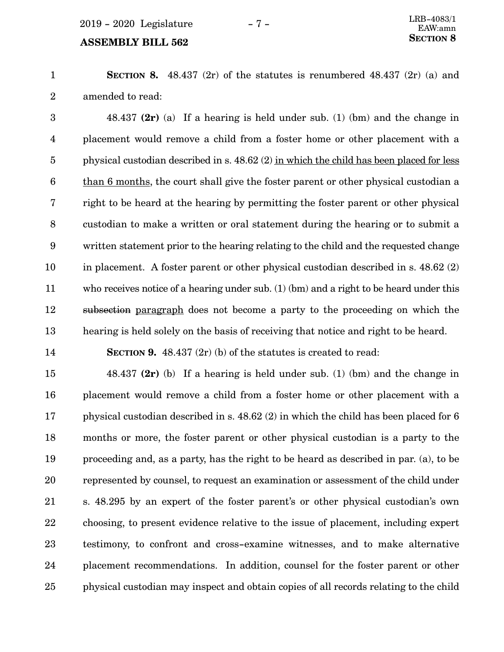### **SECTION** 8 **SECTION**

**SECTION 8.** 48.437 (2r) of the statutes is renumbered 48.437 (2r) (a) and amended to read: 1 2

48.437 **(2r)** (a) If a hearing is held under sub. (1) (bm) and the change in placement would remove a child from a foster home or other placement with a physical custodian described in s. 48.62 (2) in which the child has been placed for less than 6 months, the court shall give the foster parent or other physical custodian a right to be heard at the hearing by permitting the foster parent or other physical custodian to make a written or oral statement during the hearing or to submit a written statement prior to the hearing relating to the child and the requested change in placement. A foster parent or other physical custodian described in s. 48.62 (2) who receives notice of a hearing under sub. (1) (bm) and a right to be heard under this subsection paragraph does not become a party to the proceeding on which the hearing is held solely on the basis of receiving that notice and right to be heard. 3 4 5 6 7 8 9 10 11 12 13

14

**SECTION 9.** 48.437 (2r) (b) of the statutes is created to read:

48.437 **(2r)** (b) If a hearing is held under sub. (1) (bm) and the change in placement would remove a child from a foster home or other placement with a physical custodian described in s. 48.62 (2) in which the child has been placed for 6 months or more, the foster parent or other physical custodian is a party to the proceeding and, as a party, has the right to be heard as described in par. (a), to be represented by counsel, to request an examination or assessment of the child under s. 48.295 by an expert of the foster parent's or other physical custodian's own choosing, to present evidence relative to the issue of placement, including expert testimony, to confront and cross-examine witnesses, and to make alternative placement recommendations. In addition, counsel for the foster parent or other physical custodian may inspect and obtain copies of all records relating to the child 15 16 17 18 19 20 21 22 23 24 25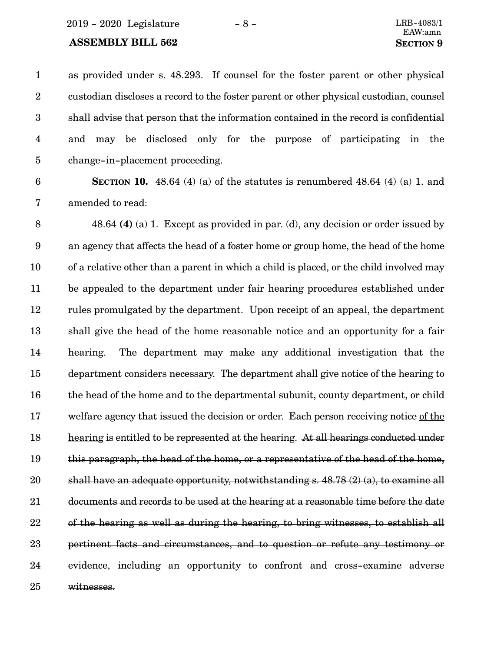#### **ASSEMBLY BILL 562 SECTION** 9

as provided under s. 48.293. If counsel for the foster parent or other physical custodian discloses a record to the foster parent or other physical custodian, counsel shall advise that person that the information contained in the record is confidential and may be disclosed only for the purpose of participating in the change-in-placement proceeding. 1 2 3 4 5

#### 6

**SECTION 10.**  $48.64$  (4) (a) of the statutes is renumbered  $48.64$  (4) (a) 1. and amended to read: 7

48.64 **(4)** (a) 1. Except as provided in par. (d), any decision or order issued by an agency that affects the head of a foster home or group home, the head of the home of a relative other than a parent in which a child is placed, or the child involved may be appealed to the department under fair hearing procedures established under rules promulgated by the department. Upon receipt of an appeal, the department shall give the head of the home reasonable notice and an opportunity for a fair hearing. The department may make any additional investigation that the department considers necessary. The department shall give notice of the hearing to the head of the home and to the departmental subunit, county department, or child welfare agency that issued the decision or order. Each person receiving notice of the hearing is entitled to be represented at the hearing. At all hearings conducted under this paragraph, the head of the home, or a representative of the head of the home, shall have an adequate opportunity, notwithstanding s. 48.78 (2) (a), to examine all documents and records to be used at the hearing at a reasonable time before the date of the hearing as well as during the hearing, to bring witnesses, to establish all pertinent facts and circumstances, and to question or refute any testimony or evidence, including an opportunity to confront and cross-examine adverse witnesses. 8 9 10 11 12 13 14 15 16 17 18 19 20 21 22 23 24 25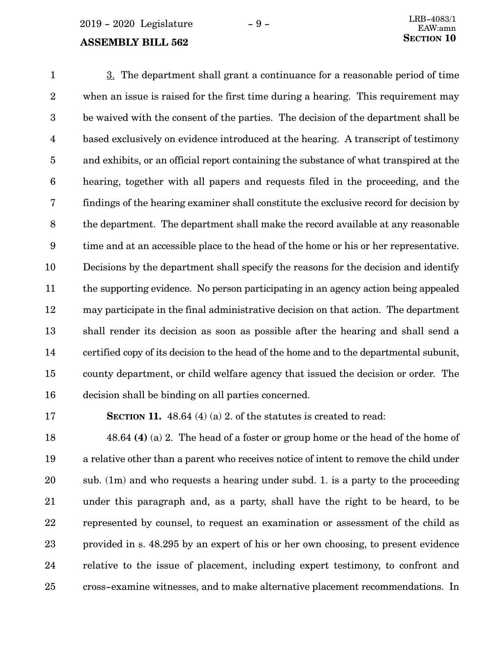3. The department shall grant a continuance for a reasonable period of time when an issue is raised for the first time during a hearing. This requirement may be waived with the consent of the parties. The decision of the department shall be based exclusively on evidence introduced at the hearing. A transcript of testimony and exhibits, or an official report containing the substance of what transpired at the hearing, together with all papers and requests filed in the proceeding, and the findings of the hearing examiner shall constitute the exclusive record for decision by the department. The department shall make the record available at any reasonable time and at an accessible place to the head of the home or his or her representative. Decisions by the department shall specify the reasons for the decision and identify the supporting evidence. No person participating in an agency action being appealed may participate in the final administrative decision on that action. The department shall render its decision as soon as possible after the hearing and shall send a certified copy of its decision to the head of the home and to the departmental subunit, county department, or child welfare agency that issued the decision or order. The decision shall be binding on all parties concerned. 1 2 3 4 5 6 7 8 9 10 11 12 13 14 15 16

17

**SECTION 11.** 48.64 (4) (a) 2. of the statutes is created to read:

48.64 **(4)** (a) 2. The head of a foster or group home or the head of the home of a relative other than a parent who receives notice of intent to remove the child under sub. (1m) and who requests a hearing under subd. 1. is a party to the proceeding under this paragraph and, as a party, shall have the right to be heard, to be represented by counsel, to request an examination or assessment of the child as provided in s. 48.295 by an expert of his or her own choosing, to present evidence relative to the issue of placement, including expert testimony, to confront and cross-examine witnesses, and to make alternative placement recommendations. In 18 19 20 21 22 23 24 25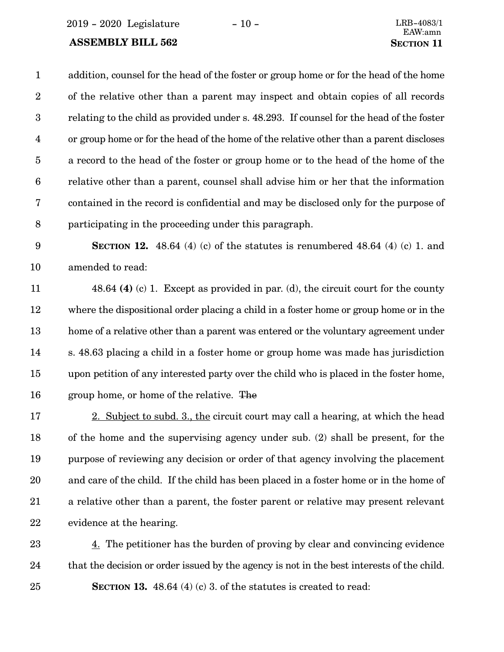2019 - 2020 Legislature - 10 - LRB-4083/1

#### **ASSEMBLY BILL 562 SECTION** 11

addition, counsel for the head of the foster or group home or for the head of the home of the relative other than a parent may inspect and obtain copies of all records relating to the child as provided under s. 48.293. If counsel for the head of the foster or group home or for the head of the home of the relative other than a parent discloses a record to the head of the foster or group home or to the head of the home of the relative other than a parent, counsel shall advise him or her that the information contained in the record is confidential and may be disclosed only for the purpose of participating in the proceeding under this paragraph. 1 2 3 4 5 6 7 8

**SECTION 12.** 48.64 (4) (c) of the statutes is renumbered 48.64 (4) (c) 1. and amended to read: 9 10

48.64 **(4)** (c) 1. Except as provided in par. (d), the circuit court for the county where the dispositional order placing a child in a foster home or group home or in the home of a relative other than a parent was entered or the voluntary agreement under s. 48.63 placing a child in a foster home or group home was made has jurisdiction upon petition of any interested party over the child who is placed in the foster home, group home, or home of the relative. The 11 12 13 14 15 16

2. Subject to subd. 3., the circuit court may call a hearing, at which the head of the home and the supervising agency under sub. (2) shall be present, for the purpose of reviewing any decision or order of that agency involving the placement and care of the child. If the child has been placed in a foster home or in the home of a relative other than a parent, the foster parent or relative may present relevant evidence at the hearing. 17 18 19 20 21 22

4. The petitioner has the burden of proving by clear and convincing evidence that the decision or order issued by the agency is not in the best interests of the child. **SECTION 13.** 48.64 (4) (c) 3. of the statutes is created to read: 23 24 25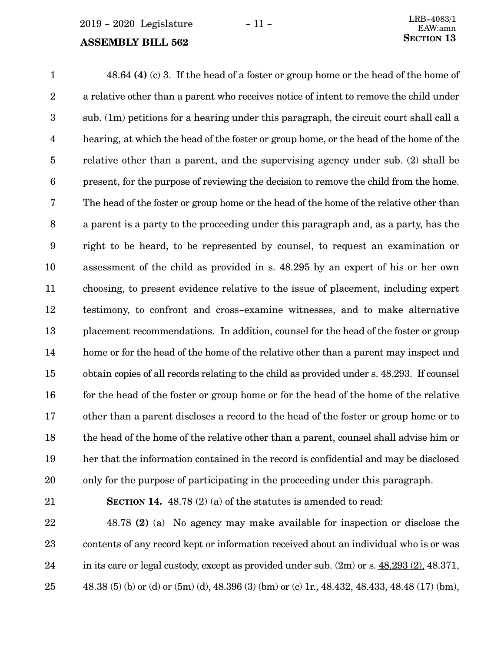48.64 **(4)** (c) 3. If the head of a foster or group home or the head of the home of a relative other than a parent who receives notice of intent to remove the child under sub. (1m) petitions for a hearing under this paragraph, the circuit court shall call a hearing, at which the head of the foster or group home, or the head of the home of the relative other than a parent, and the supervising agency under sub. (2) shall be present, for the purpose of reviewing the decision to remove the child from the home. The head of the foster or group home or the head of the home of the relative other than a parent is a party to the proceeding under this paragraph and, as a party, has the right to be heard, to be represented by counsel, to request an examination or assessment of the child as provided in s. 48.295 by an expert of his or her own choosing, to present evidence relative to the issue of placement, including expert testimony, to confront and cross-examine witnesses, and to make alternative placement recommendations. In addition, counsel for the head of the foster or group home or for the head of the home of the relative other than a parent may inspect and obtain copies of all records relating to the child as provided under s. 48.293. If counsel for the head of the foster or group home or for the head of the home of the relative other than a parent discloses a record to the head of the foster or group home or to the head of the home of the relative other than a parent, counsel shall advise him or her that the information contained in the record is confidential and may be disclosed only for the purpose of participating in the proceeding under this paragraph. 1 2 3 4 5 6 7 8 9 10 11 12 13 14 15 16 17 18 19 20

21

**SECTION 14.** 48.78 (2) (a) of the statutes is amended to read:

48.78 **(2)** (a) No agency may make available for inspection or disclose the contents of any record kept or information received about an individual who is or was in its care or legal custody, except as provided under sub. (2m) or s. 48.293 (2), 48.371, 48.38 (5) (b) or (d) or (5m) (d), 48.396 (3) (bm) or (c) 1r., 48.432, 48.433, 48.48 (17) (bm), 22 23 24 25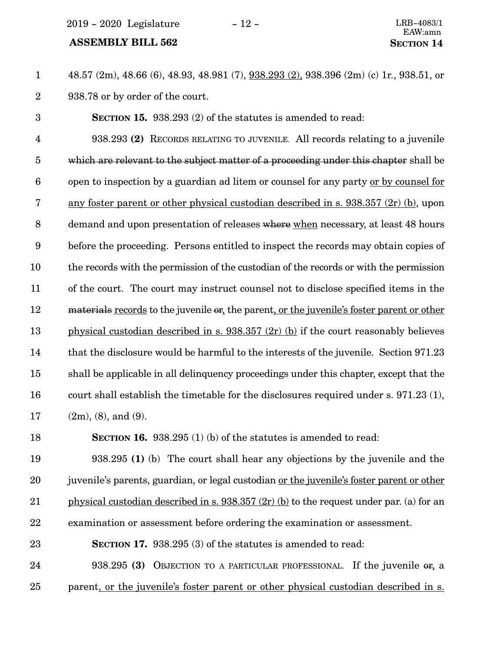2019 - 2020 Legislature - 12 - LRB-4083/1

#### **ASSEMBLY BILL 562 SECTION** 14

48.57 (2m), 48.66 (6), 48.93, 48.981 (7), 938.293 (2), 938.396 (2m) (c) 1r., 938.51, or 938.78 or by order of the court. 1 2

**SECTION 15.** 938.293 (2) of the statutes is amended to read: 3

938.293 **(2)** RECORDS RELATING TO JUVENILE. All records relating to a juvenile which are relevant to the subject matter of a proceeding under this chapter shall be open to inspection by a guardian ad litem or counsel for any party or by counsel for any foster parent or other physical custodian described in s. 938.357 (2r) (b), upon demand and upon presentation of releases where when necessary, at least 48 hours before the proceeding. Persons entitled to inspect the records may obtain copies of the records with the permission of the custodian of the records or with the permission of the court. The court may instruct counsel not to disclose specified items in the materials records to the juvenile or, the parent, or the juvenile's foster parent or other physical custodian described in s. 938.357 (2r) (b) if the court reasonably believes that the disclosure would be harmful to the interests of the juvenile. Section 971.23 shall be applicable in all delinquency proceedings under this chapter, except that the court shall establish the timetable for the disclosures required under s. 971.23 (1), (2m), (8), and (9). 4 5 6 7 8 9 10 11 12 13 14 15 16 17

**SECTION 16.** 938.295 (1) (b) of the statutes is amended to read: 18

938.295 **(1)** (b) The court shall hear any objections by the juvenile and the juvenile's parents, guardian, or legal custodian or the juvenile's foster parent or other physical custodian described in s. 938.357 (2r) (b) to the request under par. (a) for an examination or assessment before ordering the examination or assessment. 19 20 21 22

**SECTION 17.** 938.295 (3) of the statutes is amended to read: 23

938.295 **(3)** OBJECTION TO A PARTICULAR PROFESSIONAL. If the juvenile or, a parent, or the juvenile's foster parent or other physical custodian described in s. 24 25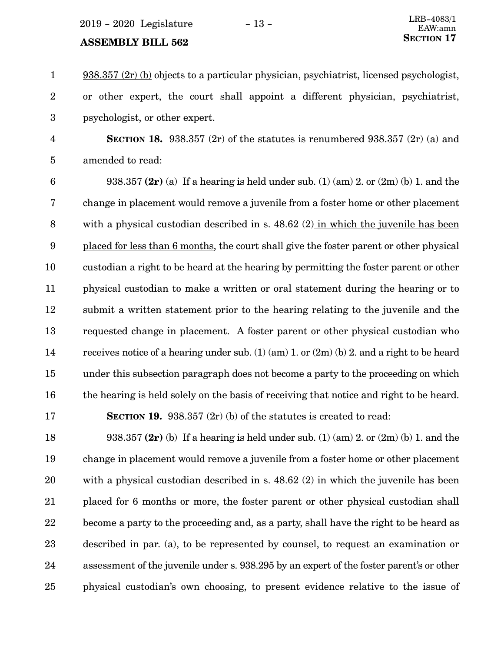$2019 - 2020$  Legislature  $-13 -$ 

## **SECTION 17 SECTION** 17

938.357 (2r) (b) objects to a particular physician, psychiatrist, licensed psychologist, or other expert, the court shall appoint a different physician, psychiatrist, psychologist, or other expert. 1 2 3

**SECTION 18.** 938.357 (2r) of the statutes is renumbered 938.357 (2r) (a) and amended to read: 4 5

938.357 **(2r)** (a) If a hearing is held under sub. (1) (am) 2. or (2m) (b) 1. and the change in placement would remove a juvenile from a foster home or other placement with a physical custodian described in s. 48.62 (2) in which the juvenile has been placed for less than 6 months, the court shall give the foster parent or other physical custodian a right to be heard at the hearing by permitting the foster parent or other physical custodian to make a written or oral statement during the hearing or to submit a written statement prior to the hearing relating to the juvenile and the requested change in placement. A foster parent or other physical custodian who receives notice of a hearing under sub. (1) (am) 1. or (2m) (b) 2. and a right to be heard under this subsection paragraph does not become a party to the proceeding on which the hearing is held solely on the basis of receiving that notice and right to be heard. 6 7 8 9 10 11 12 13 14 15 16

17

**SECTION 19.** 938.357 (2r) (b) of the statutes is created to read:

938.357 **(2r)** (b) If a hearing is held under sub. (1) (am) 2. or (2m) (b) 1. and the change in placement would remove a juvenile from a foster home or other placement with a physical custodian described in s. 48.62 (2) in which the juvenile has been placed for 6 months or more, the foster parent or other physical custodian shall become a party to the proceeding and, as a party, shall have the right to be heard as described in par. (a), to be represented by counsel, to request an examination or assessment of the juvenile under s. 938.295 by an expert of the foster parent's or other physical custodian's own choosing, to present evidence relative to the issue of 18 19 20 21 22 23 24 25